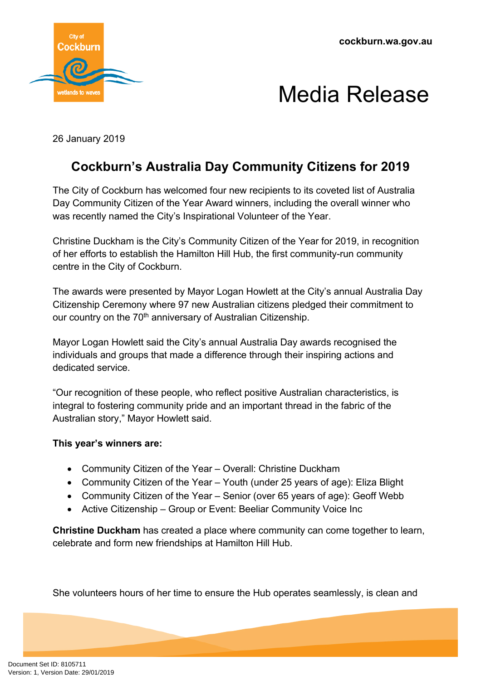

## Media Release

26 January 2019

## **Cockburn's Australia Day Community Citizens for 2019**

The City of Cockburn has welcomed four new recipients to its coveted list of Australia Day Community Citizen of the Year Award winners, including the overall winner who was recently named the City's Inspirational Volunteer of the Year.

Christine Duckham is the City's Community Citizen of the Year for 2019, in recognition of her efforts to establish the Hamilton Hill Hub, the first community-run community centre in the City of Cockburn.

The awards were presented by Mayor Logan Howlett at the City's annual Australia Day Citizenship Ceremony where 97 new Australian citizens pledged their commitment to our country on the 70<sup>th</sup> anniversary of Australian Citizenship.

Mayor Logan Howlett said the City's annual Australia Day awards recognised the individuals and groups that made a difference through their inspiring actions and dedicated service.

"Our recognition of these people, who reflect positive Australian characteristics, is integral to fostering community pride and an important thread in the fabric of the Australian story," Mayor Howlett said.

## **This year's winners are:**

- Community Citizen of the Year Overall: Christine Duckham
- Community Citizen of the Year Youth (under 25 years of age): Eliza Blight
- Community Citizen of the Year Senior (over 65 years of age): Geoff Webb
- Active Citizenship Group or Event: Beeliar Community Voice Inc

**Christine Duckham** has created a place where community can come together to learn, celebrate and form new friendships at Hamilton Hill Hub.

She volunteers hours of her time to ensure the Hub operates seamlessly, is clean and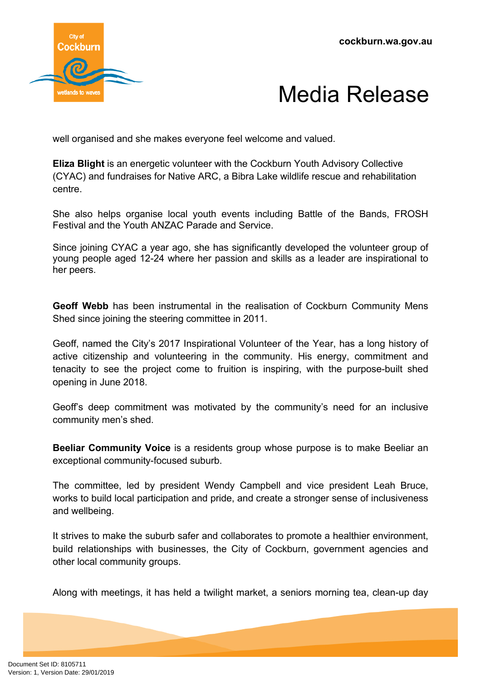



well organised and she makes everyone feel welcome and valued.

**Eliza Blight** is an energetic volunteer with the Cockburn Youth Advisory Collective (CYAC) and fundraises for Native ARC, a Bibra Lake wildlife rescue and rehabilitation centre.

She also helps organise local youth events including Battle of the Bands, FROSH Festival and the Youth ANZAC Parade and Service.

Since joining CYAC a year ago, she has significantly developed the volunteer group of young people aged 12-24 where her passion and skills as a leader are inspirational to her peers.

**Geoff Webb** has been instrumental in the realisation of Cockburn Community Mens Shed since joining the steering committee in 2011.

Geoff, named the City's 2017 Inspirational Volunteer of the Year, has a long history of active citizenship and volunteering in the community. His energy, commitment and tenacity to see the project come to fruition is inspiring, with the purpose-built shed opening in June 2018.

Geoff's deep commitment was motivated by the community's need for an inclusive community men's shed.

**Beeliar Community Voice** is a residents group whose purpose is to make Beeliar an exceptional community-focused suburb.

The committee, led by president Wendy Campbell and vice president Leah Bruce, works to build local participation and pride, and create a stronger sense of inclusiveness and wellbeing.

It strives to make the suburb safer and collaborates to promote a healthier environment, build relationships with businesses, the City of Cockburn, government agencies and other local community groups.

Along with meetings, it has held a twilight market, a seniors morning tea, clean-up day